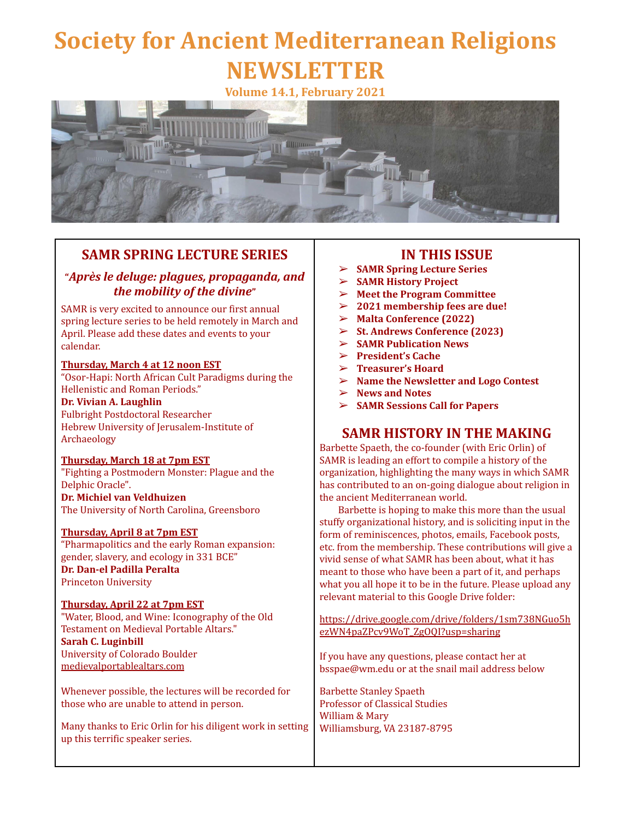# **Society for Ancient Mediterranean Religions NEWSLETTER**

**Volume 14.1, February 2021**



# **SAMR SPRING LECTURE SERIES**

## **"***Après le deluge: plagues, propaganda, and the mobility of the divine***"**

SAMR is very excited to announce our first annual spring lecture series to be held remotely in March and April. Please add these dates and events to your calendar.

#### **Thursday, March 4 at 12 noon EST**

"Osor-Hapi: North African Cult Paradigms during the Hellenistic and Roman Periods." **Dr. Vivian A. Laughlin** Fulbright Postdoctoral Researcher Hebrew University of Jerusalem-Institute of Archaeology

#### **Thursday, March 18 at 7pm EST**

"Fighting a Postmodern Monster: Plague and the Delphic Oracle". **Dr. Michiel van Veldhuizen**

The University of North Carolina, Greensboro

#### **Thursday, April 8 at 7pm EST**

"Pharmapolitics and the early Roman expansion: gender, slavery, and ecology in 331 BCE" **Dr. Dan-el Padilla Peralta** Princeton University

#### **Thursday, April 22 at 7pm EST**

"Water, Blood, and Wine: Iconography of the Old Testament on Medieval Portable Altars." **Sarah C. Luginbill** University of Colorado Boulder [medievalportablealtars.com](http://medievalportablealtars.com)

Whenever possible, the lectures will be recorded for those who are unable to attend in person.

Many thanks to Eric Orlin for his diligent work in setting up this terrific speaker series.

# **IN THIS ISSUE**

- ➢ **SAMR Spring Lecture Series**
- ➢ **SAMR History Project**
- ➢ **Meet the Program Committee**
- ➢ **2021 membership fees are due!**
- ➢ **Malta Conference (2022)**
- ➢ **St. Andrews Conference (2023)**
- ➢ **SAMR Publication News**
- ➢ **President's Cache**
- ➢ **Treasurer's Hoard**
- ➢ **Name the Newsletter and Logo Contest**
- ➢ **News and Notes**
- ➢ **SAMR Sessions Call for Papers**

# **SAMR HISTORY IN THE MAKING**

Barbette Spaeth, the co-founder (with Eric Orlin) of SAMR is leading an effort to compile a history of the organization, highlighting the many ways in which SAMR has contributed to an on-going dialogue about religion in the ancient Mediterranean world.

Barbette is hoping to make this more than the usual stuffy organizational history, and is soliciting input in the form of reminiscences, photos, emails, Facebook posts, etc. from the membership. These contributions will give a vivid sense of what SAMR has been about, what it has meant to those who have been a part of it, and perhaps what you all hope it to be in the future. Please upload any relevant material to this Google Drive folder:

[https://drive.google.com/drive/folders/1sm738NGuo5h](https://urldefense.com/v3/__https://drive.google.com/drive/folders/1sm738NGuo5hezWN4paZPcv9WoT_ZgOQI?usp=sharing*20__;JQ!!DWqe1SB0EKY-!dgmri791TwAzCbxakiYBTRZL4UxJD14ytgzv-7mr19KQugWDmrUmZ21DixU4DHyWfd9OQQ$) [ezWN4paZPcv9WoT\\_ZgOQI?usp=sharing](https://urldefense.com/v3/__https://drive.google.com/drive/folders/1sm738NGuo5hezWN4paZPcv9WoT_ZgOQI?usp=sharing*20__;JQ!!DWqe1SB0EKY-!dgmri791TwAzCbxakiYBTRZL4UxJD14ytgzv-7mr19KQugWDmrUmZ21DixU4DHyWfd9OQQ$)

If you have any questions, please contact her at bsspae@wm.edu or at the snail mail address below

Barbette Stanley Spaeth Professor of Classical Studies William & Mary Williamsburg, VA 23187-8795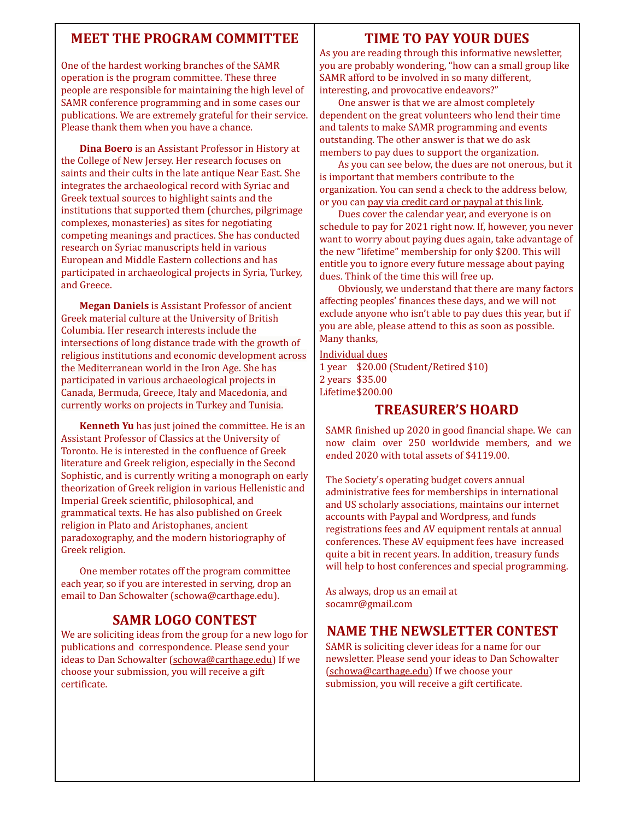# **MEET THE PROGRAM COMMITTEE**

#### One of the hardest working branches of the SAMR operation is the program committee. These three people are responsible for maintaining the high level of SAMR conference programming and in some cases our publications. We are extremely grateful for their service. Please thank them when you have a chance.

**Dina Boero** is an Assistant Professor in History at the College of New Jersey. Her research focuses on saints and their cults in the late antique Near East. She integrates the archaeological record with Syriac and Greek textual sources to highlight saints and the institutions that supported them (churches, pilgrimage complexes, monasteries) as sites for negotiating competing meanings and practices. She has conducted research on Syriac manuscripts held in various European and Middle Eastern collections and has participated in archaeological projects in Syria, Turkey, and Greece.

**Megan Daniels** is Assistant Professor of ancient Greek material culture at the University of British Columbia. Her research interests include the intersections of long distance trade with the growth of religious institutions and economic development across the Mediterranean world in the Iron Age. She has participated in various archaeological projects in Canada, Bermuda, Greece, Italy and Macedonia, and currently works on projects in Turkey and Tunisia.

**Kenneth Yu** has just joined the committee. He is an Assistant Professor of Classics at the University of Toronto. He is interested in the confluence of Greek literature and Greek religion, especially in the Second Sophistic, and is currently writing a monograph on early theorization of Greek religion in various Hellenistic and Imperial Greek scientific, philosophical, and grammatical texts. He has also published on Greek religion in Plato and Aristophanes, ancient paradoxography, and the modern historiography of Greek religion.

One member rotates off the program committee each year, so if you are interested in serving, drop an email to Dan Schowalter (schowa@carthage.edu).

## **SAMR LOGO CONTEST**

We are soliciting ideas from the group for a new logo for publications and correspondence. Please send your ideas to Dan Schowalter [\(schowa@carthage.edu\)](mailto:schowa@carthage.edu) If we choose your submission, you will receive a gift certificate.

# **TIME TO PAY YOUR DUES**

As you are reading through this informative newsletter, you are probably wondering, "how can a small group like SAMR afford to be involved in so many different, interesting, and provocative endeavors?"

One answer is that we are almost completely dependent on the great volunteers who lend their time and talents to make SAMR programming and events outstanding. The other answer is that we do ask members to pay dues to support the organization.

As you can see below, the dues are not onerous, but it is important that members contribute to the organization. You can send a check to the address below, or you can pay via credit card or [paypal](https://samreligions.org/membership/) at this link.

Dues cover the calendar year, and everyone is on schedule to pay for 2021 right now. If, however, you never want to worry about paying dues again, take advantage of the new "lifetime" membership for only \$200. This will entitle you to ignore every future message about paying dues. Think of the time this will free up.

Obviously, we understand that there are many factors affecting peoples' finances these days, and we will not exclude anyone who isn't able to pay dues this year, but if you are able, please attend to this as soon as possible. Many thanks,

Individual dues

1 year \$20.00 (Student/Retired \$10) 2 years \$35.00 Lifetime\$200.00

### **TREASURER'S HOARD**

SAMR finished up 2020 in good financial shape. We can now claim over 250 worldwide members, and we ended 2020 with total assets of \$4119.00.

The Society's operating budget covers annual administrative fees for memberships in international and US scholarly associations, maintains our internet accounts with Paypal and Wordpress, and funds registrations fees and AV equipment rentals at annual conferences. These AV equipment fees have increased quite a bit in recent years. In addition, treasury funds will help to host conferences and special programming.

As always, drop us an email at socamr@gmail.com

## **NAME THE NEWSLETTER CONTEST**

SAMR is soliciting clever ideas for a name for our newsletter. Please send your ideas to Dan Schowalter [\(schowa@carthage.edu](mailto:schowa@carthage.edu)) If we choose your submission, you will receive a gift certificate.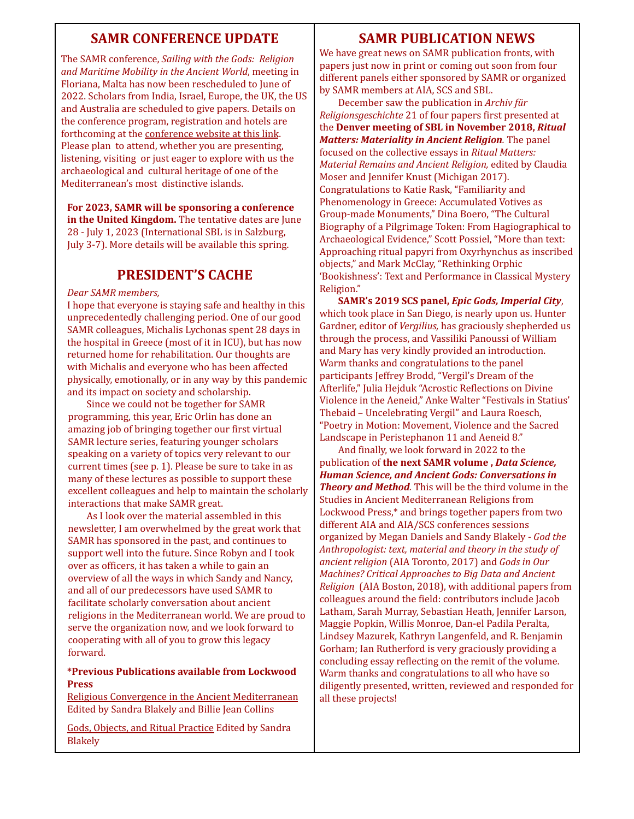# **SAMR CONFERENCE UPDATE**

The SAMR conference, *Sailing with the Gods: Religion and Maritime Mobility in the Ancient World*, meeting in Floriana, Malta has now been rescheduled to June of 2022. Scholars from India, Israel, Europe, the UK, the US and Australia are scheduled to give papers. Details on the conference program, registration and hotels are forthcoming at the [conference](http://classics.emory.edu/home/news-events/samr.html) website at this link. Please plan to attend, whether you are presenting, listening, visiting or just eager to explore with us the archaeological and cultural heritage of one of the Mediterranean's most distinctive islands.

**For 2023, SAMR will be sponsoring a conference in the United Kingdom.** The tentative dates are June 28 - July 1, 2023 (International SBL is in Salzburg, July 3-7). More details will be available this spring.

## **PRESIDENT'S CACHE**

#### *Dear SAMR members,*

I hope that everyone is staying safe and healthy in this unprecedentedly challenging period. One of our good SAMR colleagues, Michalis Lychonas spent 28 days in the hospital in Greece (most of it in ICU), but has now returned home for rehabilitation. Our thoughts are with Michalis and everyone who has been affected physically, emotionally, or in any way by this pandemic and its impact on society and scholarship.

Since we could not be together for SAMR programming, this year, Eric Orlin has done an amazing job of bringing together our first virtual SAMR lecture series, featuring younger scholars speaking on a variety of topics very relevant to our current times (see p. 1). Please be sure to take in as many of these lectures as possible to support these excellent colleagues and help to maintain the scholarly interactions that make SAMR great.

As I look over the material assembled in this newsletter, I am overwhelmed by the great work that SAMR has sponsored in the past, and continues to support well into the future. Since Robyn and I took over as officers, it has taken a while to gain an overview of all the ways in which Sandy and Nancy, and all of our predecessors have used SAMR to facilitate scholarly conversation about ancient religions in the Mediterranean world. We are proud to serve the organization now, and we look forward to cooperating with all of you to grow this legacy forward.

#### **\*Previous Publications available from Lockwood Press**

Religious Convergence in the Ancient [Mediterranean](https://isdistribution.com/BookDetail.aspx?aId=107286) Edited by Sandra Blakely and Billie Jean Collins

Gods, Objects, and Ritual [Practice](https://isdistribution.com/BookDetail.aspx?aId=85486) Edited by Sandra Blakely

# **SAMR PUBLICATION NEWS**

We have great news on SAMR publication fronts, with papers just now in print or coming out soon from four different panels either sponsored by SAMR or organized by SAMR members at AIA, SCS and SBL.

December saw the publication in *Archiv für Religionsgeschichte* 21 of four papers first presented at the **Denver meeting of SBL in November 2018,** *Ritual Matters: Materiality in Ancient Religion.* The panel focused on the collective essays in *Ritual Matters: Material Remains and Ancient Religion,* edited by Claudia Moser and Jennifer Knust (Michigan 2017). Congratulations to Katie Rask, "Familiarity and Phenomenology in Greece: Accumulated Votives as Group-made Monuments," Dina Boero, "The Cultural Biography of a Pilgrimage Token: From Hagiographical to Archaeological Evidence," Scott Possiel, "More than text: Approaching ritual papyri from Oxyrhynchus as inscribed objects," and Mark McClay, "Rethinking Orphic 'Bookishness': Text and Performance in Classical Mystery Religion."

**SAMR's 2019 SCS panel,** *Epic Gods, Imperial City*, which took place in San Diego, is nearly upon us. Hunter Gardner, editor of *Vergilius,* has graciously shepherded us through the process, and Vassiliki Panoussi of William and Mary has very kindly provided an introduction. Warm thanks and congratulations to the panel participants Jeffrey Brodd, "Vergil's Dream of the Afterlife," Julia Hejduk "Acrostic Reflections on Divine Violence in the Aeneid," Anke Walter "Festivals in Statius' Thebaid – Uncelebrating Vergil" and Laura Roesch, "Poetry in Motion: Movement, Violence and the Sacred Landscape in Peristephanon 11 and Aeneid 8."

And finally, we look forward in 2022 to the publication of **the next SAMR volume ,** *Data Science, Human Science, and Ancient Gods: Conversations in Theory and Method.* This will be the third volume in the Studies in Ancient Mediterranean Religions from Lockwood Press,\* and brings together papers from two different AIA and AIA/SCS conferences sessions organized by Megan Daniels and Sandy Blakely - *God the Anthropologist: text, material and theory in the study of ancient religion* (AIA Toronto, 2017) and *Gods in Our Machines? Critical Approaches to Big Data and Ancient Religion* (AIA Boston, 2018), with additional papers from colleagues around the field: contributors include Jacob Latham, Sarah Murray, Sebastian Heath, Jennifer Larson, Maggie Popkin, Willis Monroe, Dan-el Padila Peralta, Lindsey Mazurek, Kathryn Langenfeld, and R. Benjamin Gorham; Ian Rutherford is very graciously providing a concluding essay reflecting on the remit of the volume. Warm thanks and congratulations to all who have so diligently presented, written, reviewed and responded for all these projects!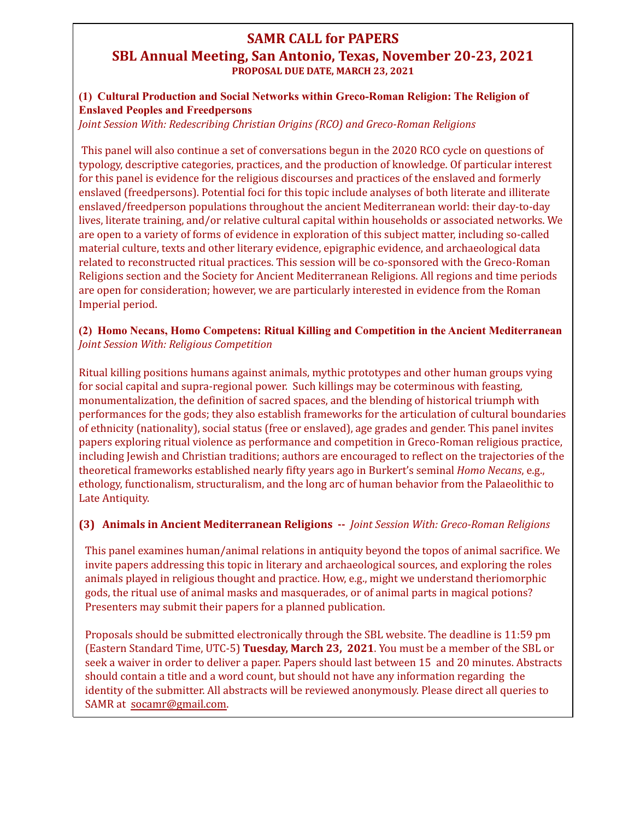# **SAMR CALL for PAPERS**

# **SBL Annual Meeting, San Antonio, Texas, November 20-23, 2021 PROPOSAL DUE DATE, MARCH 23, 2021**

### **(1) Cultural Production and Social Networks within Greco-Roman Religion: The Religion of Enslaved Peoples and Freedpersons**

*Joint Session With: Redescribing Christian Origins (RCO) and Greco-Roman Religions*

This panel will also continue a set of conversations begun in the 2020 RCO cycle on questions of typology, descriptive categories, practices, and the production of knowledge. Of particular interest for this panel is evidence for the religious discourses and practices of the enslaved and formerly enslaved (freedpersons). Potential foci for this topic include analyses of both literate and illiterate enslaved/freedperson populations throughout the ancient Mediterranean world: their day-to-day lives, literate training, and/or relative cultural capital within households or associated networks. We are open to a variety of forms of evidence in exploration of this subject matter, including so-called material culture, texts and other literary evidence, epigraphic evidence, and archaeological data related to reconstructed ritual practices. This session will be co-sponsored with the Greco-Roman Religions section and the Society for Ancient Mediterranean Religions. All regions and time periods are open for consideration; however, we are particularly interested in evidence from the Roman Imperial period.

#### **(2) Homo Necans, Homo Competens: Ritual Killing and Competition in the Ancient Mediterranean** *Joint Session With: Religious Competition*

Ritual killing positions humans against animals, mythic prototypes and other human groups vying for social capital and supra-regional power. Such killings may be coterminous with feasting, monumentalization, the definition of sacred spaces, and the blending of historical triumph with performances for the gods; they also establish frameworks for the articulation of cultural boundaries of ethnicity (nationality), social status (free or enslaved), age grades and gender. This panel invites papers exploring ritual violence as performance and competition in Greco-Roman religious practice, including Jewish and Christian traditions; authors are encouraged to reflect on the trajectories of the theoretical frameworks established nearly fifty years ago in Burkert's seminal *Homo Necans*, e.g., ethology, functionalism, structuralism, and the long arc of human behavior from the Palaeolithic to Late Antiquity.

## **(3) Animals in Ancient Mediterranean Religions --** *Joint Session With: Greco-Roman Religions*

This panel examines human/animal relations in antiquity beyond the topos of animal sacrifice. We invite papers addressing this topic in literary and archaeological sources, and exploring the roles animals played in religious thought and practice. How, e.g., might we understand theriomorphic gods, the ritual use of animal masks and masquerades, or of animal parts in magical potions? Presenters may submit their papers for a planned publication.

Proposals should be submitted electronically through the SBL website. The deadline is 11:59 pm (Eastern Standard Time, UTC-5) **Tuesday, March 23, 2021**. You must be a member of the SBL or seek a waiver in order to deliver a paper. Papers should last between 15 and 20 minutes. Abstracts should contain a title and a word count, but should not have any information regarding the identity of the submitter. All abstracts will be reviewed anonymously. Please direct all queries to SAMR at socamr@gmail.com.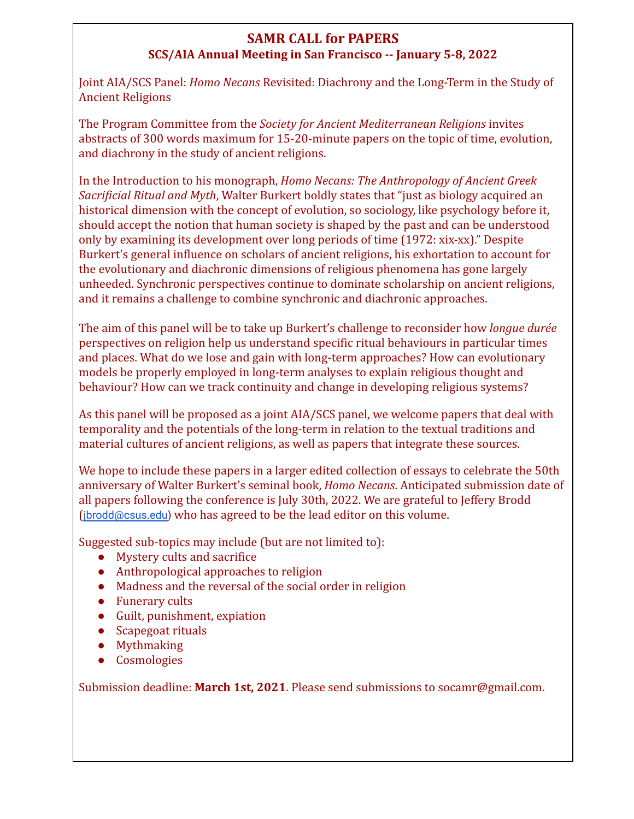# **SAMR CALL for PAPERS**

# **SCS/AIA Annual Meeting in San Francisco -- January 5-8, 2022**

Joint AIA/SCS Panel: *Homo Necans* Revisited: Diachrony and the Long-Term in the Study of Ancient Religions

The Program Committee from the *Society for Ancient Mediterranean Religions* invites abstracts of 300 words maximum for 15-20-minute papers on the topic of time, evolution, and diachrony in the study of ancient religions.

In the Introduction to his monograph, *Homo Necans: The Anthropology of Ancient Greek Sacrificial Ritual and Myth*, Walter Burkert boldly states that "just as biology acquired an historical dimension with the concept of evolution, so sociology, like psychology before it, should accept the notion that human society is shaped by the past and can be understood only by examining its development over long periods of time (1972: xix-xx)." Despite Burkert's general influence on scholars of ancient religions, his exhortation to account for the evolutionary and diachronic dimensions of religious phenomena has gone largely unheeded. Synchronic perspectives continue to dominate scholarship on ancient religions, and it remains a challenge to combine synchronic and diachronic approaches.

The aim of this panel will be to take up Burkert's challenge to reconsider how *longue durée* perspectives on religion help us understand specific ritual behaviours in particular times and places. What do we lose and gain with long-term approaches? How can evolutionary models be properly employed in long-term analyses to explain religious thought and behaviour? How can we track continuity and change in developing religious systems?

As this panel will be proposed as a joint AIA/SCS panel, we welcome papers that deal with temporality and the potentials of the long-term in relation to the textual traditions and material cultures of ancient religions, as well as papers that integrate these sources.

We hope to include these papers in a larger edited collection of essays to celebrate the 50th anniversary of Walter Burkert's seminal book, *Homo Necans*. Anticipated submission date of all papers following the conference is July 30th, 2022. We are grateful to Jeffery Brodd ([jbrodd@csus.edu\)](mailto:jbrodd@csus.edu) who has agreed to be the lead editor on this volume.

Suggested sub-topics may include (but are not limited to):

- Mystery cults and sacrifice
- Anthropological approaches to religion
- Madness and the reversal of the social order in religion
- Funerary cults
- Guilt, punishment, expiation
- Scapegoat rituals
- Mythmaking
- Cosmologies

Submission deadline: **March 1st, 2021**. Please send submissions to socamr@gmail.com.